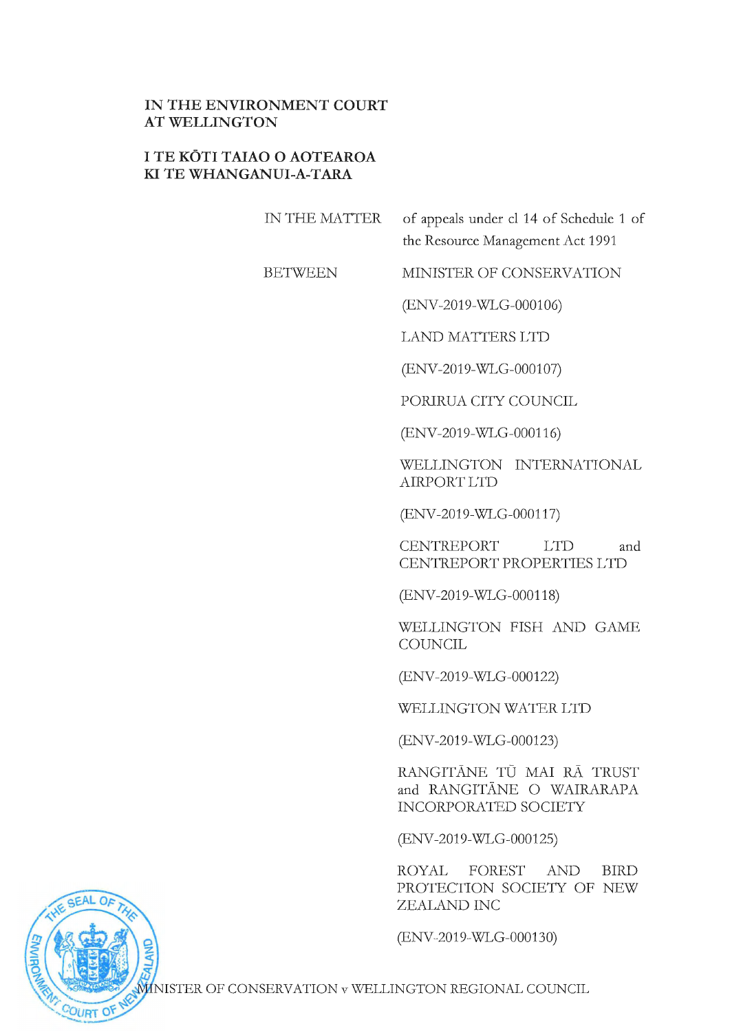## **IN THE ENVIRONMENT COURT AT WELLINGTON**

## **I TE KOTI TAIAO O AOTEAROA KI TE WHANGANUI-A-TARA**

| IN THE MATTER  | of appeals under cl 14 of Schedule 1 of<br>the Resource Management Act 1991           |
|----------------|---------------------------------------------------------------------------------------|
| <b>BETWEEN</b> | MINISTER OF CONSERVATION                                                              |
|                | (ENV-2019-WLG-000106)                                                                 |
|                | <b>LAND MATTERS LTD</b>                                                               |
|                | (ENV-2019-WLG-000107)                                                                 |
|                | PORIRUA CITY COUNCIL                                                                  |
|                | (ENV-2019-WLG-000116)                                                                 |
|                | WELLINGTON INTERNATIONAL<br><b>AIRPORT LTD</b>                                        |
|                | (ENV-2019-WLG-000117)                                                                 |
|                | <b>CENTREPORT</b><br>LTD<br>and<br><b>CENTREPORT PROPERTIES LTD</b>                   |
|                | (ENV-2019-WLG-000118)                                                                 |
|                | WELLINGTON FISH AND GAME<br>COUNCIL                                                   |
|                | (ENV-2019-WLG-000122)                                                                 |
|                | WELLINGTON WATER LTD                                                                  |
|                | (ENV-2019-WLG-000123)                                                                 |
|                | RANGITĀNE TŪ MAI RĀ TRUST<br>and RANGITĀNE O WAIRARAPA<br><b>INCORPORATED SOCIETY</b> |
|                | (ENV-2019-WLG-000125)                                                                 |
|                | ROYAL FOREST AND BIRD<br>PROTECTION SOCIETY OF NEW<br>ZEALAND INC                     |
|                | (ENV-2019-WLG-000130)                                                                 |



MINISTER OF CONSERVATION v WELLINGTON REGIONAL COUNCIL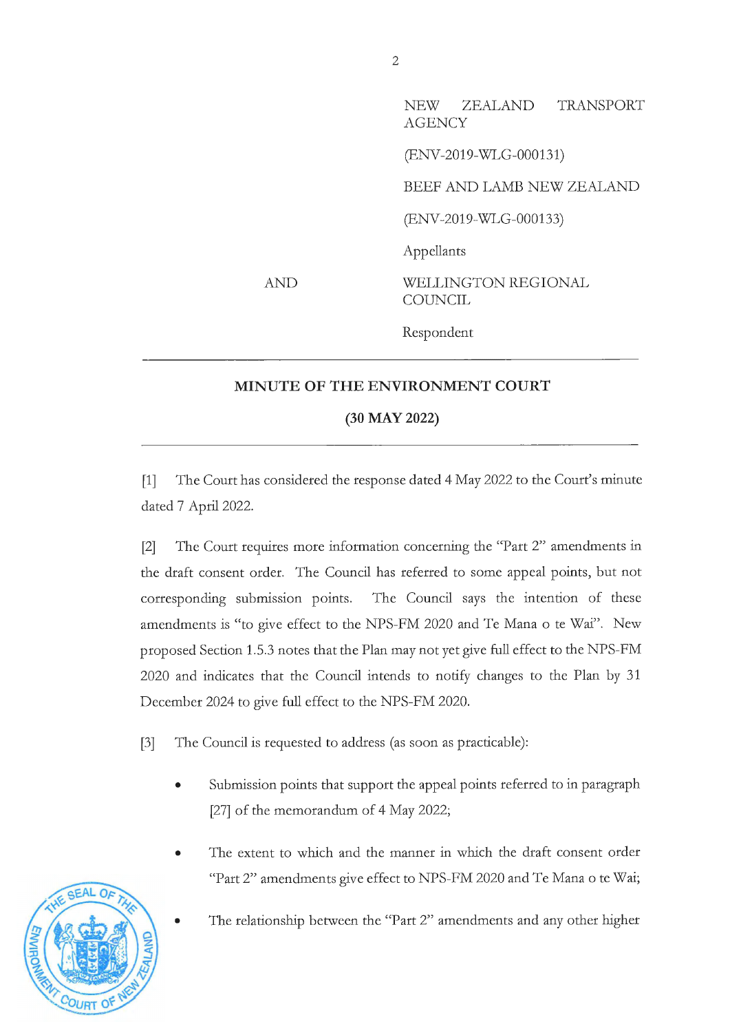NEW ZEALAND TRANSPORT **AGENCY** (ENV-2019-WLG-000131) BEEF AND LAMB NEW ZEALAND (ENV-2019-WLG-000133) Appellants WELLINGTON REGIONAL **COUNCIL** Respondent

## **MINUTE OF THE ENVIRONMENT COURT**

AND

## **(30 MAY 2022)**

[1] The Court has considered the response dated 4 May 2022 to the Court's minute dated 7 April 2022.

[2] The Court requires more information concerning the "Part 2" amendments in the draft consent order. The Council has referred to some appeal points, but not corresponding submission points. The Council says the intention of these amendments is "to give effect to the NPS-FM 2020 and Te Mana o te Wai". New proposed Section 1.5.3 notes that the Plan may not yet give full effect to the NPS-FM 2020 and indicates that the Council intends to notify changes to the Plan by 31 December 2024 to give full effect to the NPS-FM 2020.

[3] The Council is requested to address (as soon as practicable):

- Submission points that support the appeal points referred to in paragraph [27] of the memorandum of 4 May 2022;
- The extent to which and the manner in which the draft consent order "Part 2" amendments give effect to NPS-FM 2020 and Te Mana o te Wai;
	- The relationship between the "Part 2" amendments and any other higher